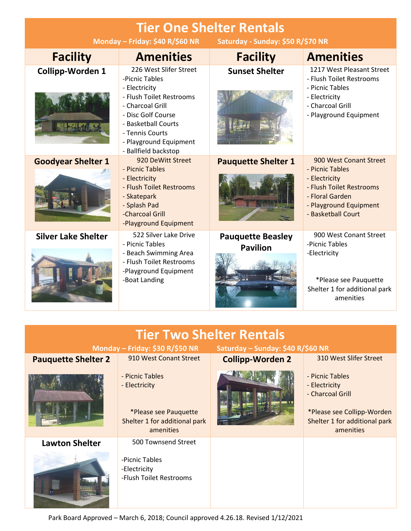| <b>Tier One Shelter Rentals</b><br>Monday - Friday: \$40 R/\$60 NR<br>Saturday - Sunday: \$50 R/\$70 NR |                                                                                                                                                                                                                             |                                             |                                                                                                                                                           |  |  |
|---------------------------------------------------------------------------------------------------------|-----------------------------------------------------------------------------------------------------------------------------------------------------------------------------------------------------------------------------|---------------------------------------------|-----------------------------------------------------------------------------------------------------------------------------------------------------------|--|--|
| <b>Facility</b>                                                                                         | <b>Amenities</b>                                                                                                                                                                                                            | <b>Facility</b>                             | <b>Amenities</b>                                                                                                                                          |  |  |
| <b>Collipp-Worden 1</b>                                                                                 | 226 West Slifer Street<br>-Picnic Tables<br>- Electricity<br>- Flush Toilet Restrooms<br>- Charcoal Grill<br>- Disc Golf Course<br>- Basketball Courts<br>- Tennis Courts<br>- Playground Equipment<br>- Ballfield backstop | <b>Sunset Shelter</b>                       | 1217 West Pleasant Street<br>- Flush Toilet Restrooms<br>- Picnic Tables<br>- Electricity<br>- Charcoal Grill<br>- Playground Equipment                   |  |  |
| <b>Goodyear Shelter 1</b>                                                                               | 920 DeWitt Street<br>- Picnic Tables<br>- Electricity<br>- Flush Toilet Restrooms<br>- Skatepark<br>- Splash Pad<br>-Charcoal Grill<br>-Playground Equipment                                                                | <b>Pauquette Shelter 1</b>                  | 900 West Conant Street<br>- Picnic Tables<br>- Electricity<br>- Flush Toilet Restrooms<br>- Floral Garden<br>- Playground Equipment<br>- Basketball Court |  |  |
| <b>Silver Lake Shelter</b>                                                                              | 522 Silver Lake Drive<br>- Picnic Tables<br>- Beach Swimming Area<br>- Flush Toilet Restrooms<br>-Playground Equipment<br>-Boat Landing                                                                                     | <b>Pauquette Beasley</b><br><b>Pavilion</b> | 900 West Conant Street<br>-Picnic Tables<br>-Electricity<br>*Please see Pauquette<br>Shelter 1 for additional park<br>amenities                           |  |  |
|                                                                                                         |                                                                                                                                                                                                                             |                                             |                                                                                                                                                           |  |  |
| <b>Tier Two Shelter Rentals</b><br>Monday - Friday: \$30 R/\$50 NR<br>Saturday - Sunday: \$40 R/\$60 NR |                                                                                                                                                                                                                             |                                             |                                                                                                                                                           |  |  |
| <b>Pauquette Shelter 2</b>                                                                              | 910 West Conant Street                                                                                                                                                                                                      | <b>Collipp-Worden 2</b>                     | 310 West Slifer Street                                                                                                                                    |  |  |
|                                                                                                         | - Picnic Tables<br>- Electricity<br>*Please see Pauquette<br>Shelter 1 for additional park<br>amenities                                                                                                                     |                                             | - Picnic Tables<br>- Electricity<br>- Charcoal Grill<br>*Please see Collipp-Worden<br>Shelter 1 for additional park<br>amenities                          |  |  |
| <b>Lawton Shelter</b>                                                                                   | 500 Townsend Street                                                                                                                                                                                                         |                                             |                                                                                                                                                           |  |  |

Park Board Approved – March 6, 2018; Council approved 4.26.18. Revised 1/12/2021

-Picnic Tables -Electricity

-Flush Toilet Restrooms